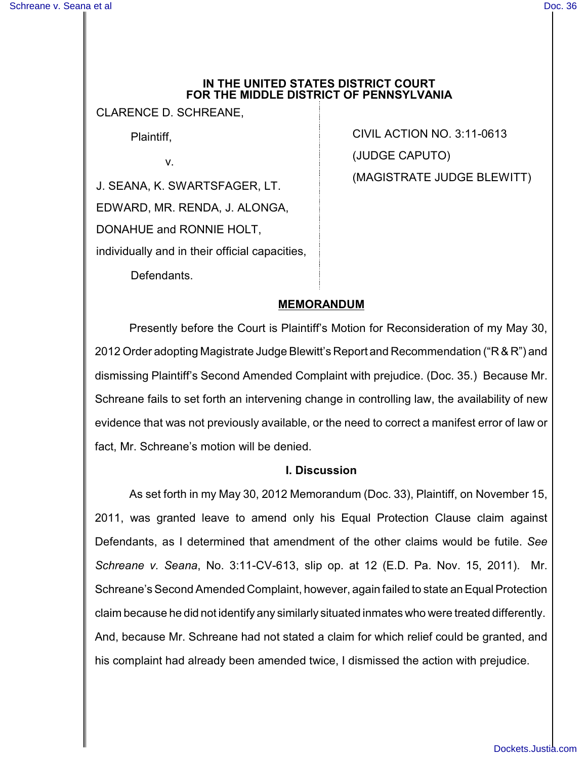## **IN THE UNITED STATES DISTRICT COURT FOR THE MIDDLE DISTRICT OF PENNSYLVANIA**

CLARENCE D. SCHREANE,

Plaintiff,

v.

J. SEANA, K. SWARTSFAGER, LT. EDWARD, MR. RENDA, J. ALONGA, DONAHUE and RONNIE HOLT, individually and in their official capacities, CIVIL ACTION NO. 3:11-0613 (JUDGE CAPUTO) (MAGISTRATE JUDGE BLEWITT)

Defendants.

## **MEMORANDUM**

Presently before the Court is Plaintiff's Motion for Reconsideration of my May 30, 2012 Order adopting Magistrate Judge Blewitt's Report and Recommendation ("R & R") and dismissing Plaintiff's Second Amended Complaint with prejudice. (Doc. 35.) Because Mr. Schreane fails to set forth an intervening change in controlling law, the availability of new evidence that was not previously available, or the need to correct a manifest error of law or fact, Mr. Schreane's motion will be denied.

## **I. Discussion**

As set forth in my May 30, 2012 Memorandum (Doc. 33), Plaintiff, on November 15, 2011, was granted leave to amend only his Equal Protection Clause claim against Defendants, as I determined that amendment of the other claims would be futile. *See Schreane v. Seana*, No. 3:11-CV-613, slip op. at 12 (E.D. Pa. Nov. 15, 2011). Mr. Schreane's Second Amended Complaint, however, again failed to state an Equal Protection claim because he did not identify any similarly situated inmates who were treated differently. And, because Mr. Schreane had not stated a claim for which relief could be granted, and his complaint had already been amended twice, I dismissed the action with prejudice.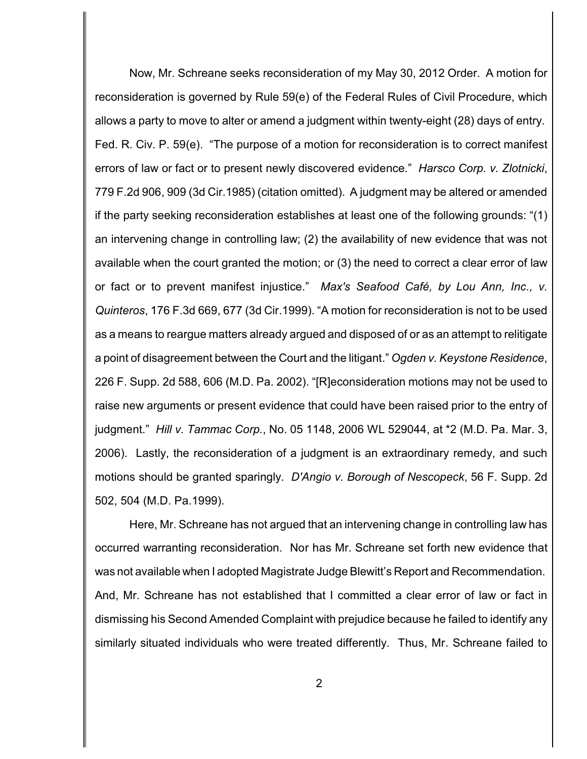Now, Mr. Schreane seeks reconsideration of my May 30, 2012 Order. A motion for reconsideration is governed by Rule 59(e) of the Federal Rules of Civil Procedure, which allows a party to move to alter or amend a judgment within twenty-eight (28) days of entry. Fed. R. Civ. P. 59(e). "The purpose of a motion for reconsideration is to correct manifest errors of law or fact or to present newly discovered evidence." *Harsco Corp. v. Zlotnicki*, 779 F.2d 906, 909 (3d Cir.1985) (citation omitted). A judgment may be altered or amended if the party seeking reconsideration establishes at least one of the following grounds: "(1) an intervening change in controlling law; (2) the availability of new evidence that was not available when the court granted the motion; or (3) the need to correct a clear error of law or fact or to prevent manifest injustice." *Max's Seafood Café, by Lou Ann, Inc., v. Quinteros*, 176 F.3d 669, 677 (3d Cir.1999). "A motion for reconsideration is not to be used as a means to reargue matters already argued and disposed of or as an attempt to relitigate a point of disagreement between the Court and the litigant." *Ogden v. Keystone Residence*, 226 F. Supp. 2d 588, 606 (M.D. Pa. 2002). "[R]econsideration motions may not be used to raise new arguments or present evidence that could have been raised prior to the entry of judgment." *Hill v. Tammac Corp.*, No. 05 1148, 2006 WL 529044, at \*2 (M.D. Pa. Mar. 3, 2006). Lastly, the reconsideration of a judgment is an extraordinary remedy, and such motions should be granted sparingly. *D'Angio v. Borough of Nescopeck*, 56 F. Supp. 2d 502, 504 (M.D. Pa.1999).

Here, Mr. Schreane has not argued that an intervening change in controlling law has occurred warranting reconsideration. Nor has Mr. Schreane set forth new evidence that was not available when I adopted Magistrate Judge Blewitt's Report and Recommendation. And, Mr. Schreane has not established that I committed a clear error of law or fact in dismissing his Second Amended Complaint with prejudice because he failed to identify any similarly situated individuals who were treated differently. Thus, Mr. Schreane failed to